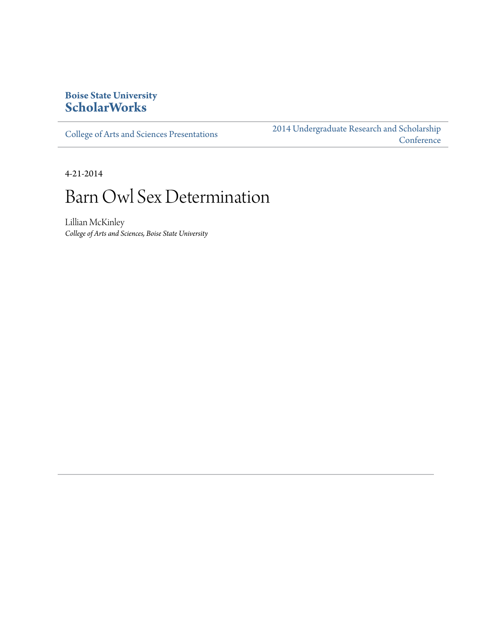# **Boise State University [ScholarWorks](http://scholarworks.boisestate.edu)**

[College of Arts and Sciences Presentations](http://scholarworks.boisestate.edu/as_14)

[2014 Undergraduate Research and Scholarship](http://scholarworks.boisestate.edu/2014_under_conf) **[Conference](http://scholarworks.boisestate.edu/2014_under_conf)** 

4-21-2014

# Barn Owl Sex Determination

Lillian McKinley *College of Arts and Sciences, Boise State University*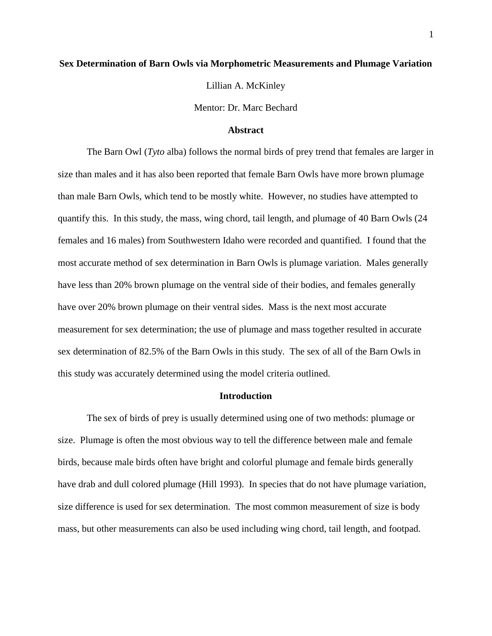## **Sex Determination of Barn Owls via Morphometric Measurements and Plumage Variation**

Lillian A. McKinley

Mentor: Dr. Marc Bechard

#### **Abstract**

The Barn Owl (*Tyto* alba) follows the normal birds of prey trend that females are larger in size than males and it has also been reported that female Barn Owls have more brown plumage than male Barn Owls, which tend to be mostly white. However, no studies have attempted to quantify this. In this study, the mass, wing chord, tail length, and plumage of 40 Barn Owls (24 females and 16 males) from Southwestern Idaho were recorded and quantified. I found that the most accurate method of sex determination in Barn Owls is plumage variation. Males generally have less than 20% brown plumage on the ventral side of their bodies, and females generally have over 20% brown plumage on their ventral sides. Mass is the next most accurate measurement for sex determination; the use of plumage and mass together resulted in accurate sex determination of 82.5% of the Barn Owls in this study. The sex of all of the Barn Owls in this study was accurately determined using the model criteria outlined.

# **Introduction**

The sex of birds of prey is usually determined using one of two methods: plumage or size. Plumage is often the most obvious way to tell the difference between male and female birds, because male birds often have bright and colorful plumage and female birds generally have drab and dull colored plumage (Hill 1993). In species that do not have plumage variation, size difference is used for sex determination. The most common measurement of size is body mass, but other measurements can also be used including wing chord, tail length, and footpad.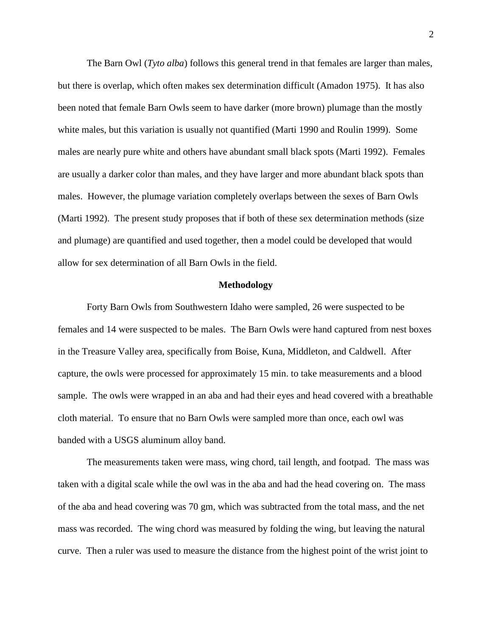The Barn Owl (*Tyto alba*) follows this general trend in that females are larger than males, but there is overlap, which often makes sex determination difficult (Amadon 1975). It has also been noted that female Barn Owls seem to have darker (more brown) plumage than the mostly white males, but this variation is usually not quantified (Marti 1990 and Roulin 1999). Some males are nearly pure white and others have abundant small black spots (Marti 1992). Females are usually a darker color than males, and they have larger and more abundant black spots than males. However, the plumage variation completely overlaps between the sexes of Barn Owls (Marti 1992). The present study proposes that if both of these sex determination methods (size and plumage) are quantified and used together, then a model could be developed that would allow for sex determination of all Barn Owls in the field.

#### **Methodology**

Forty Barn Owls from Southwestern Idaho were sampled, 26 were suspected to be females and 14 were suspected to be males. The Barn Owls were hand captured from nest boxes in the Treasure Valley area, specifically from Boise, Kuna, Middleton, and Caldwell. After capture, the owls were processed for approximately 15 min. to take measurements and a blood sample. The owls were wrapped in an aba and had their eyes and head covered with a breathable cloth material. To ensure that no Barn Owls were sampled more than once, each owl was banded with a USGS aluminum alloy band.

The measurements taken were mass, wing chord, tail length, and footpad. The mass was taken with a digital scale while the owl was in the aba and had the head covering on. The mass of the aba and head covering was 70 gm, which was subtracted from the total mass, and the net mass was recorded. The wing chord was measured by folding the wing, but leaving the natural curve. Then a ruler was used to measure the distance from the highest point of the wrist joint to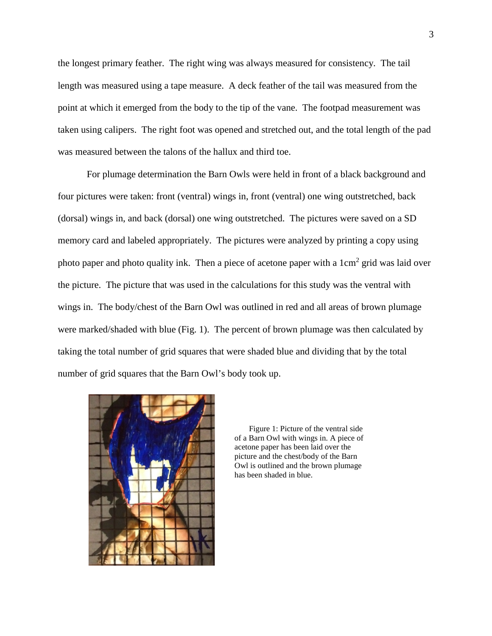the longest primary feather. The right wing was always measured for consistency. The tail length was measured using a tape measure. A deck feather of the tail was measured from the point at which it emerged from the body to the tip of the vane. The footpad measurement was taken using calipers. The right foot was opened and stretched out, and the total length of the pad was measured between the talons of the hallux and third toe.

For plumage determination the Barn Owls were held in front of a black background and four pictures were taken: front (ventral) wings in, front (ventral) one wing outstretched, back (dorsal) wings in, and back (dorsal) one wing outstretched. The pictures were saved on a SD memory card and labeled appropriately. The pictures were analyzed by printing a copy using photo paper and photo quality ink. Then a piece of acetone paper with a  $1 \text{ cm}^2$  grid was laid over the picture. The picture that was used in the calculations for this study was the ventral with wings in. The body/chest of the Barn Owl was outlined in red and all areas of brown plumage were marked/shaded with blue (Fig. 1). The percent of brown plumage was then calculated by taking the total number of grid squares that were shaded blue and dividing that by the total number of grid squares that the Barn Owl's body took up.



Figure 1: Picture of the ventral side of a Barn Owl with wings in. A piece of acetone paper has been laid over the picture and the chest/body of the Barn Owl is outlined and the brown plumage has been shaded in blue.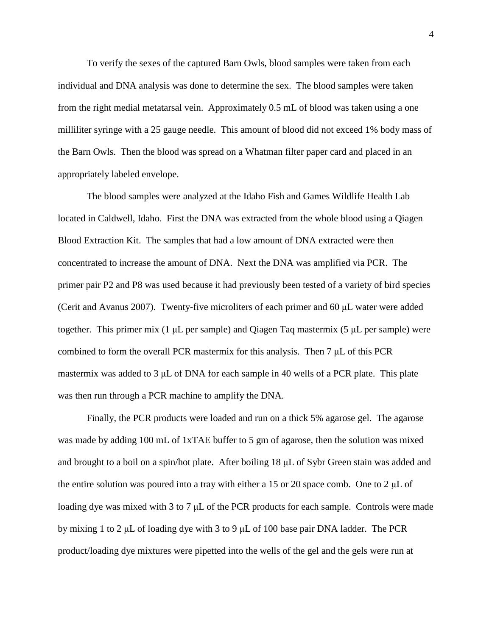To verify the sexes of the captured Barn Owls, blood samples were taken from each individual and DNA analysis was done to determine the sex. The blood samples were taken from the right medial metatarsal vein. Approximately 0.5 mL of blood was taken using a one milliliter syringe with a 25 gauge needle. This amount of blood did not exceed 1% body mass of the Barn Owls. Then the blood was spread on a Whatman filter paper card and placed in an appropriately labeled envelope.

The blood samples were analyzed at the Idaho Fish and Games Wildlife Health Lab located in Caldwell, Idaho. First the DNA was extracted from the whole blood using a Qiagen Blood Extraction Kit. The samples that had a low amount of DNA extracted were then concentrated to increase the amount of DNA. Next the DNA was amplified via PCR. The primer pair P2 and P8 was used because it had previously been tested of a variety of bird species (Cerit and Avanus 2007). Twenty-five microliters of each primer and 60 μL water were added together. This primer mix (1 μL per sample) and Qiagen Taq mastermix (5 μL per sample) were combined to form the overall PCR mastermix for this analysis. Then 7 μL of this PCR mastermix was added to 3 μL of DNA for each sample in 40 wells of a PCR plate. This plate was then run through a PCR machine to amplify the DNA.

Finally, the PCR products were loaded and run on a thick 5% agarose gel. The agarose was made by adding 100 mL of 1xTAE buffer to 5 gm of agarose, then the solution was mixed and brought to a boil on a spin/hot plate. After boiling 18 μL of Sybr Green stain was added and the entire solution was poured into a tray with either a 15 or 20 space comb. One to 2  $\mu$ L of loading dye was mixed with 3 to 7 μL of the PCR products for each sample. Controls were made by mixing 1 to 2 μL of loading dye with 3 to 9 μL of 100 base pair DNA ladder. The PCR product/loading dye mixtures were pipetted into the wells of the gel and the gels were run at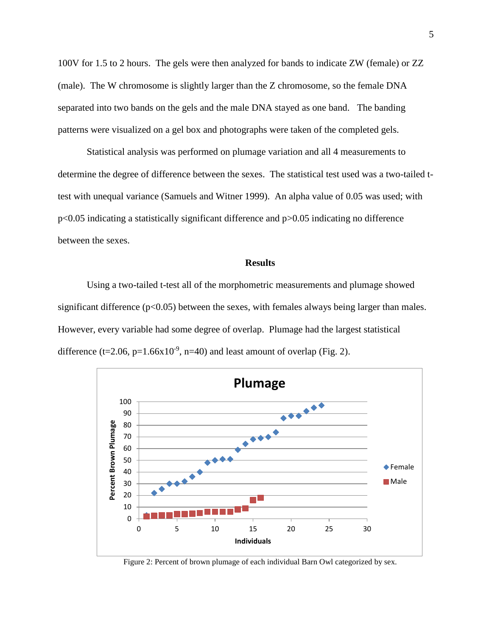100V for 1.5 to 2 hours. The gels were then analyzed for bands to indicate ZW (female) or ZZ (male). The W chromosome is slightly larger than the Z chromosome, so the female DNA separated into two bands on the gels and the male DNA stayed as one band. The banding patterns were visualized on a gel box and photographs were taken of the completed gels.

Statistical analysis was performed on plumage variation and all 4 measurements to determine the degree of difference between the sexes. The statistical test used was a two-tailed ttest with unequal variance (Samuels and Witner 1999). An alpha value of 0.05 was used; with p<0.05 indicating a statistically significant difference and p>0.05 indicating no difference between the sexes.

#### **Results**

Using a two-tailed t-test all of the morphometric measurements and plumage showed significant difference  $(p<0.05)$  between the sexes, with females always being larger than males. However, every variable had some degree of overlap. Plumage had the largest statistical difference (t=2.06, p= $1.66x10^{-9}$ , n=40) and least amount of overlap (Fig. 2).



Figure 2: Percent of brown plumage of each individual Barn Owl categorized by sex.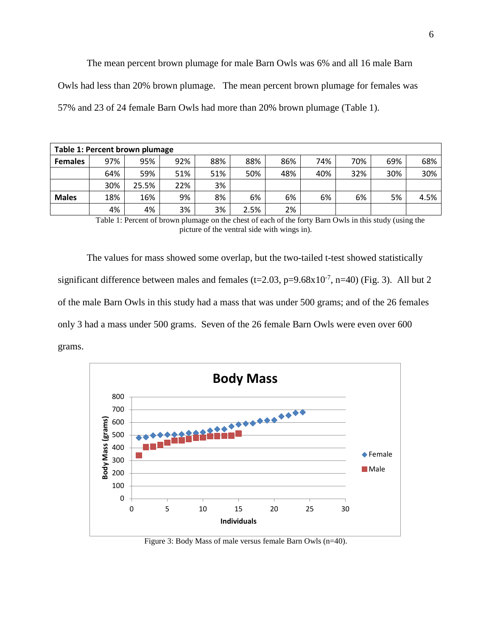The mean percent brown plumage for male Barn Owls was 6% and all 16 male Barn Owls had less than 20% brown plumage. The mean percent brown plumage for females was 57% and 23 of 24 female Barn Owls had more than 20% brown plumage (Table 1).

| Table 1: Percent brown plumage |     |       |     |     |      |     |     |     |     |      |
|--------------------------------|-----|-------|-----|-----|------|-----|-----|-----|-----|------|
| <b>Females</b>                 | 97% | 95%   | 92% | 88% | 88%  | 86% | 74% | 70% | 69% | 68%  |
|                                | 64% | 59%   | 51% | 51% | 50%  | 48% | 40% | 32% | 30% | 30%  |
|                                | 30% | 25.5% | 22% | 3%  |      |     |     |     |     |      |
| <b>Males</b>                   | 18% | 16%   | 9%  | 8%  | 6%   | 6%  | 6%  | 6%  | 5%  | 4.5% |
|                                | 4%  | 4%    | 3%  | 3%  | 2.5% | 2%  |     |     |     |      |

Table 1: Percent of brown plumage on the chest of each of the forty Barn Owls in this study (using the picture of the ventral side with wings in).

The values for mass showed some overlap, but the two-tailed t-test showed statistically significant difference between males and females (t=2.03, p=9.68x10<sup>-7</sup>, n=40) (Fig. 3). All but 2 of the male Barn Owls in this study had a mass that was under 500 grams; and of the 26 females only 3 had a mass under 500 grams. Seven of the 26 female Barn Owls were even over 600 grams.



Figure 3: Body Mass of male versus female Barn Owls (n=40).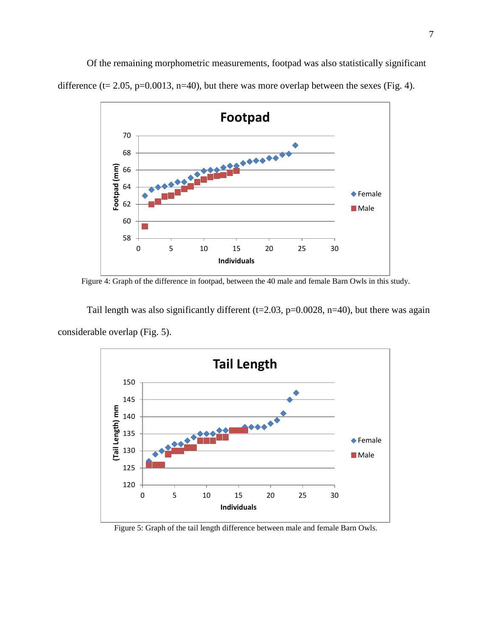Of the remaining morphometric measurements, footpad was also statistically significant difference (t= 2.05, p=0.0013, n=40), but there was more overlap between the sexes (Fig. 4).



Figure 4: Graph of the difference in footpad, between the 40 male and female Barn Owls in this study.

Tail length was also significantly different ( $t=2.03$ ,  $p=0.0028$ ,  $n=40$ ), but there was again considerable overlap (Fig. 5).



Figure 5: Graph of the tail length difference between male and female Barn Owls.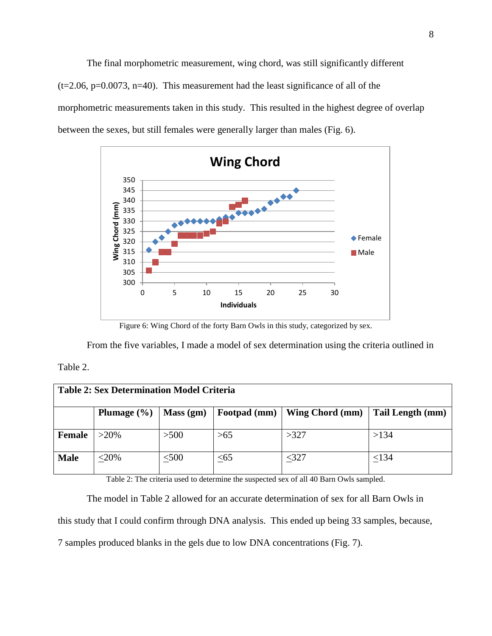The final morphometric measurement, wing chord, was still significantly different  $(t=2.06, p=0.0073, n=40)$ . This measurement had the least significance of all of the morphometric measurements taken in this study. This resulted in the highest degree of overlap between the sexes, but still females were generally larger than males (Fig. 6).



Figure 6: Wing Chord of the forty Barn Owls in this study, categorized by sex.

From the five variables, I made a model of sex determination using the criteria outlined in

# Table 2.

| <b>Table 2: Sex Determination Model Criteria</b> |                 |            |              |                 |                  |  |  |  |  |  |
|--------------------------------------------------|-----------------|------------|--------------|-----------------|------------------|--|--|--|--|--|
|                                                  | Plumage $(\% )$ | Mass (gm)  | Footpad (mm) | Wing Chord (mm) | Tail Length (mm) |  |  |  |  |  |
| <b>Female</b>                                    | $>20\%$         | >500       | >65          | >327            | >134             |  |  |  |  |  |
| <b>Male</b>                                      | $<$ 20%         | $\leq 500$ | $\leq 65$    | $<$ 327         | < 134            |  |  |  |  |  |

Table 2: The criteria used to determine the suspected sex of all 40 Barn Owls sampled.

The model in Table 2 allowed for an accurate determination of sex for all Barn Owls in

this study that I could confirm through DNA analysis. This ended up being 33 samples, because,

7 samples produced blanks in the gels due to low DNA concentrations (Fig. 7).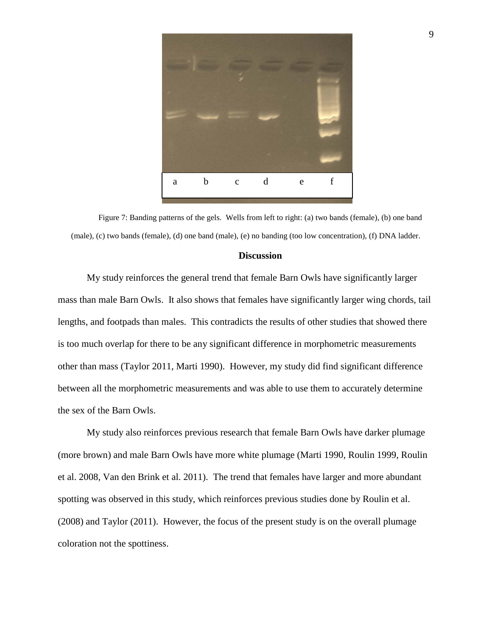

Figure 7: Banding patterns of the gels. Wells from left to right: (a) two bands (female), (b) one band (male), (c) two bands (female), (d) one band (male), (e) no banding (too low concentration), (f) DNA ladder.

## **Discussion**

My study reinforces the general trend that female Barn Owls have significantly larger mass than male Barn Owls. It also shows that females have significantly larger wing chords, tail lengths, and footpads than males. This contradicts the results of other studies that showed there is too much overlap for there to be any significant difference in morphometric measurements other than mass (Taylor 2011, Marti 1990). However, my study did find significant difference between all the morphometric measurements and was able to use them to accurately determine the sex of the Barn Owls.

My study also reinforces previous research that female Barn Owls have darker plumage (more brown) and male Barn Owls have more white plumage (Marti 1990, Roulin 1999, Roulin et al. 2008, Van den Brink et al. 2011). The trend that females have larger and more abundant spotting was observed in this study, which reinforces previous studies done by Roulin et al. (2008) and Taylor (2011). However, the focus of the present study is on the overall plumage coloration not the spottiness.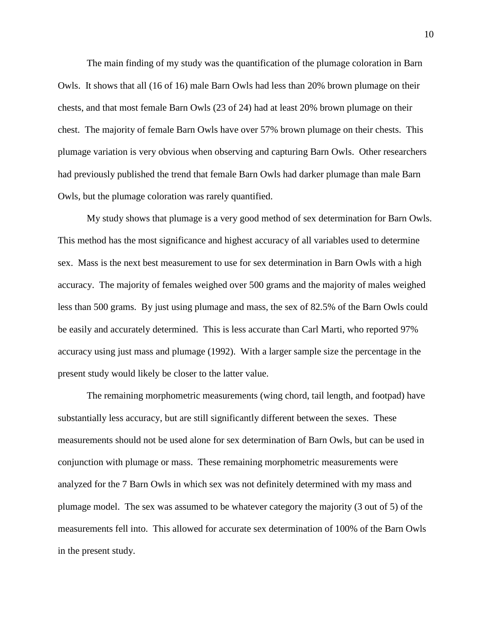The main finding of my study was the quantification of the plumage coloration in Barn Owls. It shows that all (16 of 16) male Barn Owls had less than 20% brown plumage on their chests, and that most female Barn Owls (23 of 24) had at least 20% brown plumage on their chest. The majority of female Barn Owls have over 57% brown plumage on their chests. This plumage variation is very obvious when observing and capturing Barn Owls. Other researchers had previously published the trend that female Barn Owls had darker plumage than male Barn Owls, but the plumage coloration was rarely quantified.

My study shows that plumage is a very good method of sex determination for Barn Owls. This method has the most significance and highest accuracy of all variables used to determine sex. Mass is the next best measurement to use for sex determination in Barn Owls with a high accuracy. The majority of females weighed over 500 grams and the majority of males weighed less than 500 grams. By just using plumage and mass, the sex of 82.5% of the Barn Owls could be easily and accurately determined. This is less accurate than Carl Marti, who reported 97% accuracy using just mass and plumage (1992). With a larger sample size the percentage in the present study would likely be closer to the latter value.

The remaining morphometric measurements (wing chord, tail length, and footpad) have substantially less accuracy, but are still significantly different between the sexes. These measurements should not be used alone for sex determination of Barn Owls, but can be used in conjunction with plumage or mass. These remaining morphometric measurements were analyzed for the 7 Barn Owls in which sex was not definitely determined with my mass and plumage model. The sex was assumed to be whatever category the majority (3 out of 5) of the measurements fell into. This allowed for accurate sex determination of 100% of the Barn Owls in the present study.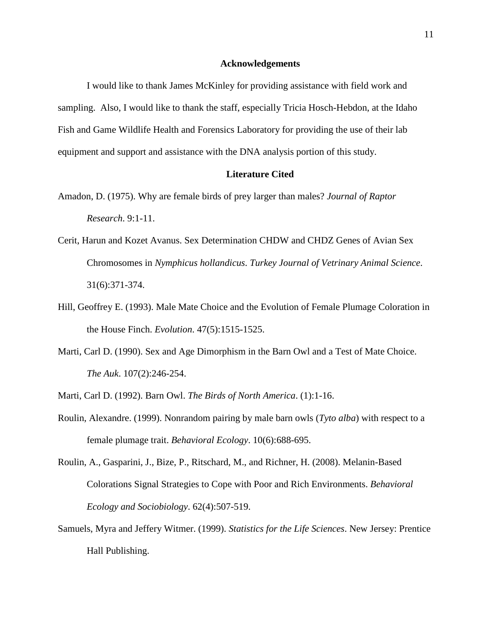#### **Acknowledgements**

I would like to thank James McKinley for providing assistance with field work and sampling. Also, I would like to thank the staff, especially Tricia Hosch-Hebdon, at the Idaho Fish and Game Wildlife Health and Forensics Laboratory for providing the use of their lab equipment and support and assistance with the DNA analysis portion of this study.

# **Literature Cited**

- Amadon, D. (1975). Why are female birds of prey larger than males? *Journal of Raptor Research*. 9:1-11.
- Cerit, Harun and Kozet Avanus. Sex Determination CHDW and CHDZ Genes of Avian Sex Chromosomes in *Nymphicus hollandicus*. *Turkey Journal of Vetrinary Animal Science*. 31(6):371-374.
- Hill, Geoffrey E. (1993). Male Mate Choice and the Evolution of Female Plumage Coloration in the House Finch. *Evolution*. 47(5):1515-1525.
- Marti, Carl D. (1990). Sex and Age Dimorphism in the Barn Owl and a Test of Mate Choice. *The Auk*. 107(2):246-254.
- Marti, Carl D. (1992). Barn Owl. *The Birds of North America*. (1):1-16.
- Roulin, Alexandre. (1999). Nonrandom pairing by male barn owls (*Tyto alba*) with respect to a female plumage trait. *Behavioral Ecology*. 10(6):688-695.
- Roulin, A., Gasparini, J., Bize, P., Ritschard, M., and Richner, H. (2008). Melanin-Based Colorations Signal Strategies to Cope with Poor and Rich Environments. *Behavioral Ecology and Sociobiology*. 62(4):507-519.
- Samuels, Myra and Jeffery Witmer. (1999). *Statistics for the Life Sciences*. New Jersey: Prentice Hall Publishing.